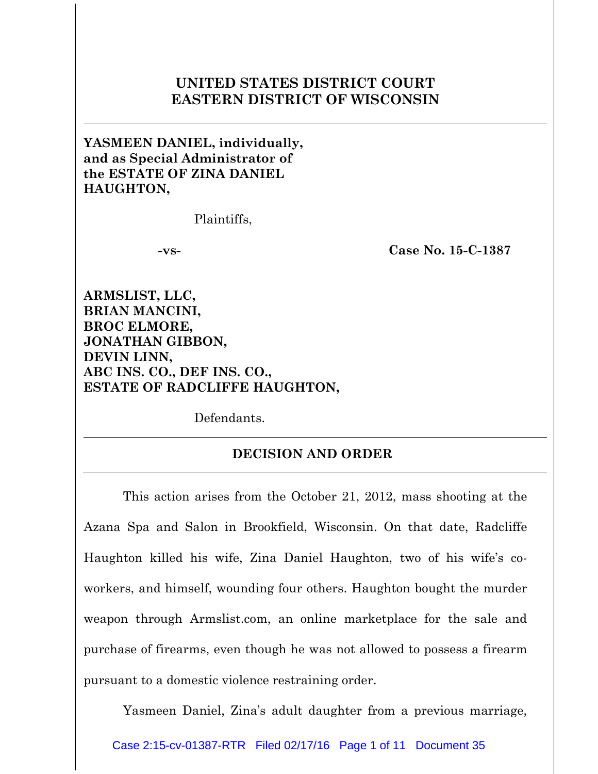## **UNITED STATES DISTRICT COURT EASTERN DISTRICT OF WISCONSIN**

**YASMEEN DANIEL, individually, and as Special Administrator of the ESTATE OF ZINA DANIEL HAUGHTON,**

Plaintiffs,

**-vs- Case No. 15-C-1387**

**ARMSLIST, LLC, BRIAN MANCINI, BROC ELMORE, JONATHAN GIBBON, DEVIN LINN, ABC INS. CO., DEF INS. CO., ESTATE OF RADCLIFFE HAUGHTON,**

Defendants.

## **DECISION AND ORDER**

This action arises from the October 21, 2012, mass shooting at the Azana Spa and Salon in Brookfield, Wisconsin. On that date, Radcliffe Haughton killed his wife, Zina Daniel Haughton, two of his wife's coworkers, and himself, wounding four others. Haughton bought the murder weapon through Armslist.com, an online marketplace for the sale and purchase of firearms, even though he was not allowed to possess a firearm pursuant to a domestic violence restraining order.

Yasmeen Daniel, Zina's adult daughter from a previous marriage,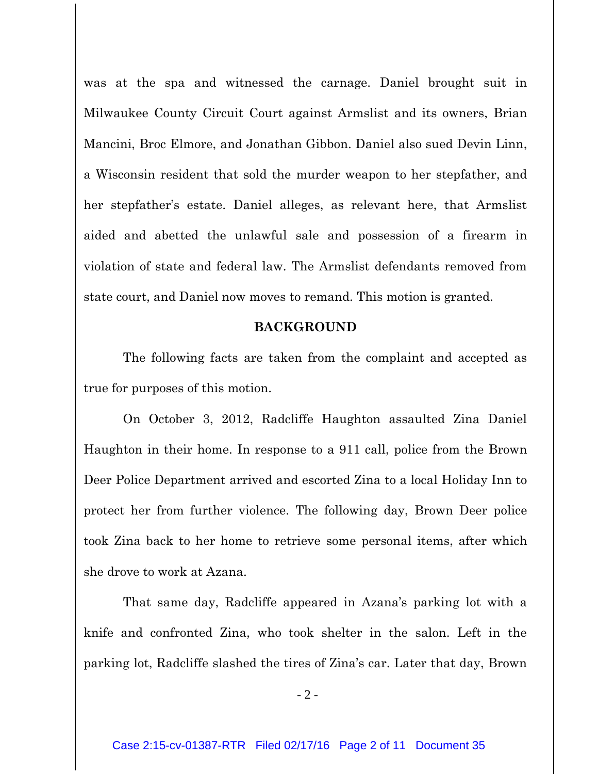was at the spa and witnessed the carnage. Daniel brought suit in Milwaukee County Circuit Court against Armslist and its owners, Brian Mancini, Broc Elmore, and Jonathan Gibbon. Daniel also sued Devin Linn, a Wisconsin resident that sold the murder weapon to her stepfather, and her stepfather's estate. Daniel alleges, as relevant here, that Armslist aided and abetted the unlawful sale and possession of a firearm in violation of state and federal law. The Armslist defendants removed from state court, and Daniel now moves to remand. This motion is granted.

## **BACKGROUND**

The following facts are taken from the complaint and accepted as true for purposes of this motion.

On October 3, 2012, Radcliffe Haughton assaulted Zina Daniel Haughton in their home. In response to a 911 call, police from the Brown Deer Police Department arrived and escorted Zina to a local Holiday Inn to protect her from further violence. The following day, Brown Deer police took Zina back to her home to retrieve some personal items, after which she drove to work at Azana.

That same day, Radcliffe appeared in Azana's parking lot with a knife and confronted Zina, who took shelter in the salon. Left in the parking lot, Radcliffe slashed the tires of Zina's car. Later that day, Brown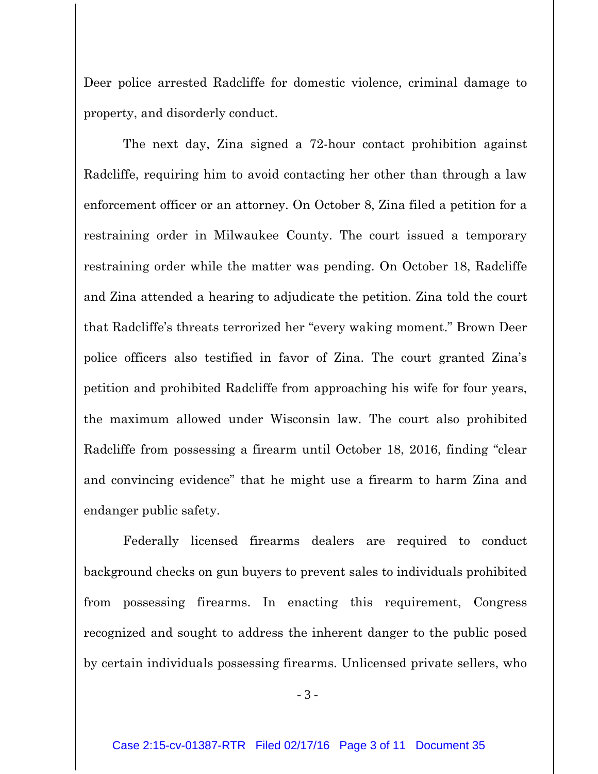Deer police arrested Radcliffe for domestic violence, criminal damage to property, and disorderly conduct.

The next day, Zina signed a 72-hour contact prohibition against Radcliffe, requiring him to avoid contacting her other than through a law enforcement officer or an attorney. On October 8, Zina filed a petition for a restraining order in Milwaukee County. The court issued a temporary restraining order while the matter was pending. On October 18, Radcliffe and Zina attended a hearing to adjudicate the petition. Zina told the court that Radcliffe's threats terrorized her "every waking moment." Brown Deer police officers also testified in favor of Zina. The court granted Zina's petition and prohibited Radcliffe from approaching his wife for four years, the maximum allowed under Wisconsin law. The court also prohibited Radcliffe from possessing a firearm until October 18, 2016, finding "clear and convincing evidence" that he might use a firearm to harm Zina and endanger public safety.

Federally licensed firearms dealers are required to conduct background checks on gun buyers to prevent sales to individuals prohibited from possessing firearms. In enacting this requirement, Congress recognized and sought to address the inherent danger to the public posed by certain individuals possessing firearms. Unlicensed private sellers, who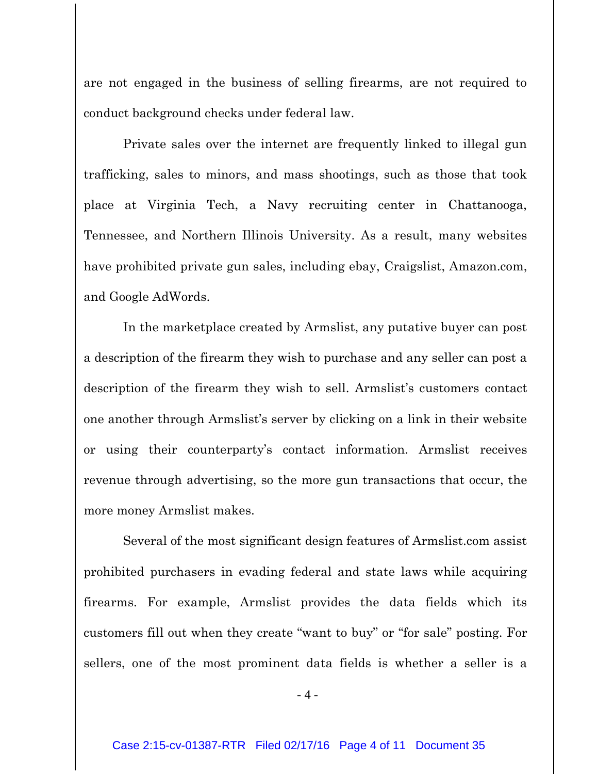are not engaged in the business of selling firearms, are not required to conduct background checks under federal law.

Private sales over the internet are frequently linked to illegal gun trafficking, sales to minors, and mass shootings, such as those that took place at Virginia Tech, a Navy recruiting center in Chattanooga, Tennessee, and Northern Illinois University. As a result, many websites have prohibited private gun sales, including ebay, Craigslist, Amazon.com, and Google AdWords.

In the marketplace created by Armslist, any putative buyer can post a description of the firearm they wish to purchase and any seller can post a description of the firearm they wish to sell. Armslist's customers contact one another through Armslist's server by clicking on a link in their website or using their counterparty's contact information. Armslist receives revenue through advertising, so the more gun transactions that occur, the more money Armslist makes.

Several of the most significant design features of Armslist.com assist prohibited purchasers in evading federal and state laws while acquiring firearms. For example, Armslist provides the data fields which its customers fill out when they create "want to buy" or "for sale" posting. For sellers, one of the most prominent data fields is whether a seller is a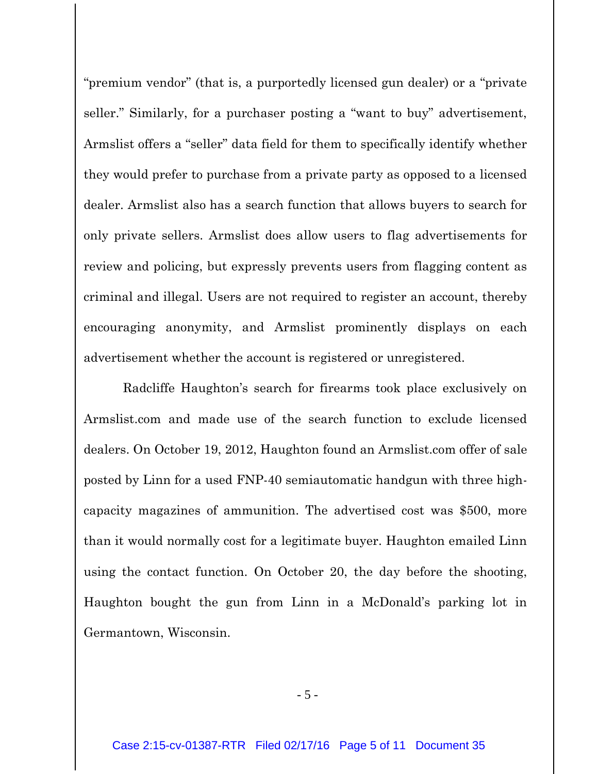"premium vendor" (that is, a purportedly licensed gun dealer) or a "private seller." Similarly, for a purchaser posting a "want to buy" advertisement, Armslist offers a "seller" data field for them to specifically identify whether they would prefer to purchase from a private party as opposed to a licensed dealer. Armslist also has a search function that allows buyers to search for only private sellers. Armslist does allow users to flag advertisements for review and policing, but expressly prevents users from flagging content as criminal and illegal. Users are not required to register an account, thereby encouraging anonymity, and Armslist prominently displays on each advertisement whether the account is registered or unregistered.

Radcliffe Haughton's search for firearms took place exclusively on Armslist.com and made use of the search function to exclude licensed dealers. On October 19, 2012, Haughton found an Armslist.com offer of sale posted by Linn for a used FNP-40 semiautomatic handgun with three highcapacity magazines of ammunition. The advertised cost was \$500, more than it would normally cost for a legitimate buyer. Haughton emailed Linn using the contact function. On October 20, the day before the shooting, Haughton bought the gun from Linn in a McDonald's parking lot in Germantown, Wisconsin.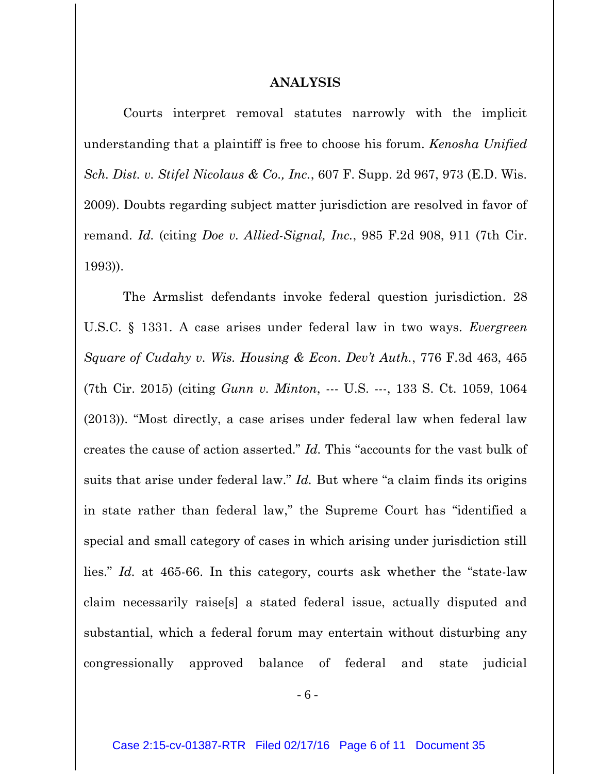## **ANALYSIS**

Courts interpret removal statutes narrowly with the implicit understanding that a plaintiff is free to choose his forum. *Kenosha Unified Sch. Dist. v. Stifel Nicolaus & Co., Inc.*, 607 F. Supp. 2d 967, 973 (E.D. Wis. 2009). Doubts regarding subject matter jurisdiction are resolved in favor of remand. *Id.* (citing *Doe v. Allied-Signal, Inc.*, 985 F.2d 908, 911 (7th Cir. 1993)).

The Armslist defendants invoke federal question jurisdiction. 28 U.S.C. § 1331. A case arises under federal law in two ways. *Evergreen Square of Cudahy v. Wis. Housing & Econ. Dev't Auth.*, 776 F.3d 463, 465 (7th Cir. 2015) (citing *Gunn v. Minton*, --- U.S. ---, 133 S. Ct. 1059, 1064 (2013)). "Most directly, a case arises under federal law when federal law creates the cause of action asserted." *Id.* This "accounts for the vast bulk of suits that arise under federal law." *Id.* But where "a claim finds its origins in state rather than federal law," the Supreme Court has "identified a special and small category of cases in which arising under jurisdiction still lies." *Id.* at 465-66. In this category, courts ask whether the "state-law claim necessarily raise[s] a stated federal issue, actually disputed and substantial, which a federal forum may entertain without disturbing any congressionally approved balance of federal and state judicial

- 6 -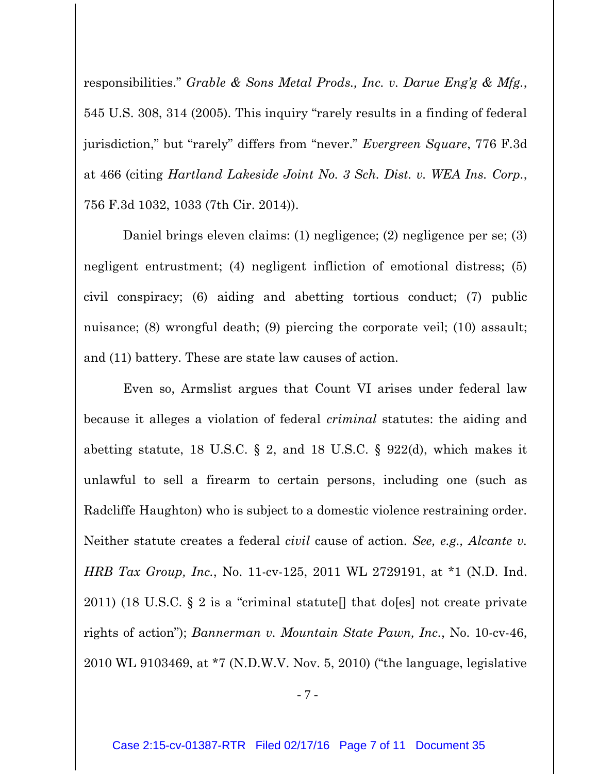responsibilities." *Grable & Sons Metal Prods., Inc. v. Darue Eng'g & Mfg.*, 545 U.S. 308, 314 (2005). This inquiry "rarely results in a finding of federal jurisdiction," but "rarely" differs from "never." *Evergreen Square*, 776 F.3d at 466 (citing *Hartland Lakeside Joint No. 3 Sch. Dist. v. WEA Ins. Corp.*, 756 F.3d 1032, 1033 (7th Cir. 2014)).

Daniel brings eleven claims: (1) negligence; (2) negligence per se; (3) negligent entrustment; (4) negligent infliction of emotional distress; (5) civil conspiracy; (6) aiding and abetting tortious conduct; (7) public nuisance; (8) wrongful death; (9) piercing the corporate veil; (10) assault; and (11) battery. These are state law causes of action.

Even so, Armslist argues that Count VI arises under federal law because it alleges a violation of federal *criminal* statutes: the aiding and abetting statute, 18 U.S.C.  $\S$  2, and 18 U.S.C.  $\S$  922(d), which makes it unlawful to sell a firearm to certain persons, including one (such as Radcliffe Haughton) who is subject to a domestic violence restraining order. Neither statute creates a federal *civil* cause of action. *See, e.g., Alcante v. HRB Tax Group, Inc.*, No. 11-cv-125, 2011 WL 2729191, at \*1 (N.D. Ind. 2011) (18 U.S.C.  $\S 2$  is a "criminal statute lthat do [es] not create private rights of action"); *Bannerman v. Mountain State Pawn, Inc.*, No. 10-cv-46, 2010 WL 9103469, at \*7 (N.D.W.V. Nov. 5, 2010) ("the language, legislative

- 7 -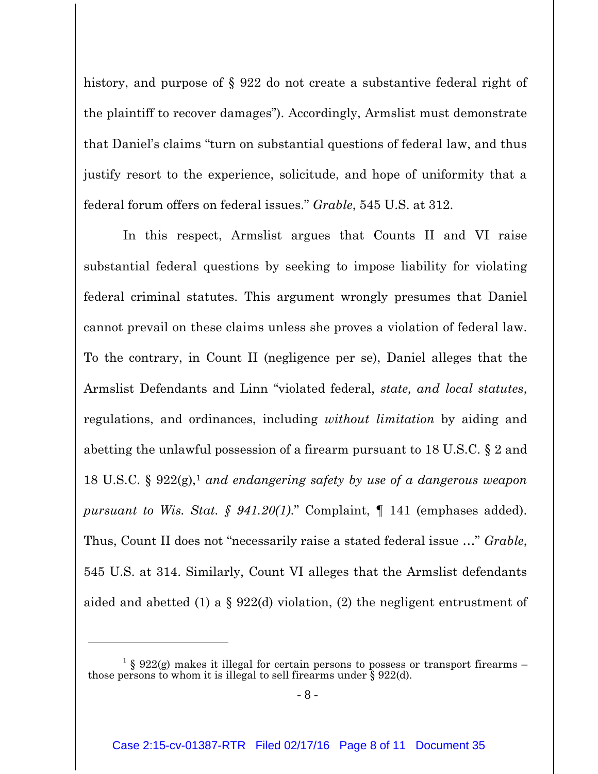history, and purpose of § 922 do not create a substantive federal right of the plaintiff to recover damages"). Accordingly, Armslist must demonstrate that Daniel's claims "turn on substantial questions of federal law, and thus justify resort to the experience, solicitude, and hope of uniformity that a federal forum offers on federal issues." *Grable*, 545 U.S. at 312.

In this respect, Armslist argues that Counts II and VI raise substantial federal questions by seeking to impose liability for violating federal criminal statutes. This argument wrongly presumes that Daniel cannot prevail on these claims unless she proves a violation of federal law. To the contrary, in Count II (negligence per se), Daniel alleges that the Armslist Defendants and Linn "violated federal, *state, and local statutes*, regulations, and ordinances, including *without limitation* by aiding and abetting the unlawful possession of a firearm pursuant to 18 U.S.C. § 2 and 18 U.S.C. § 922(g),<sup>1</sup> *and endangering safety by use of a dangerous weapon pursuant to Wis. Stat. § 941.20(1)*." Complaint, ¶ 141 (emphases added). Thus, Count II does not "necessarily raise a stated federal issue …" *Grable*, 545 U.S. at 314. Similarly, Count VI alleges that the Armslist defendants aided and abetted (1) a § 922(d) violation, (2) the negligent entrustment of

<sup>&</sup>lt;sup>1</sup> § 922(g) makes it illegal for certain persons to possess or transport firearms – those persons to whom it is illegal to sell firearms under § 922(d).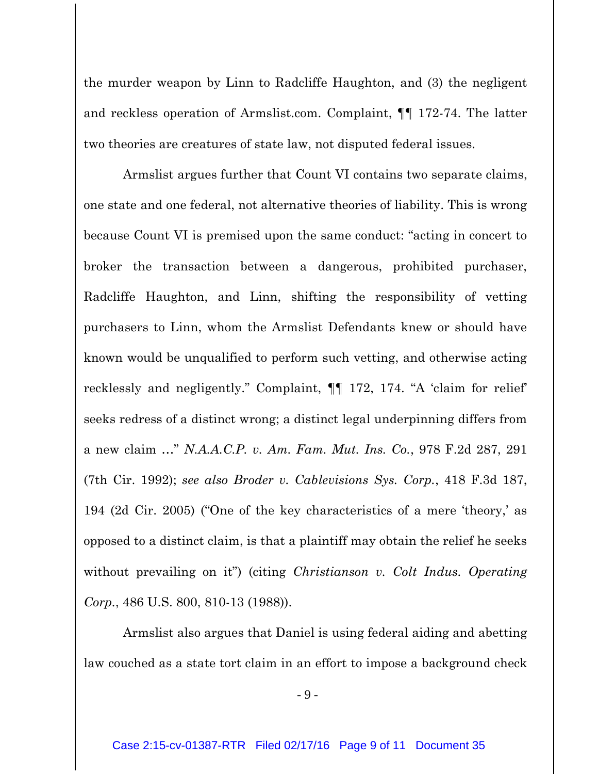the murder weapon by Linn to Radcliffe Haughton, and (3) the negligent and reckless operation of Armslist.com. Complaint, ¶¶ 172-74. The latter two theories are creatures of state law, not disputed federal issues.

Armslist argues further that Count VI contains two separate claims, one state and one federal, not alternative theories of liability. This is wrong because Count VI is premised upon the same conduct: "acting in concert to broker the transaction between a dangerous, prohibited purchaser, Radcliffe Haughton, and Linn, shifting the responsibility of vetting purchasers to Linn, whom the Armslist Defendants knew or should have known would be unqualified to perform such vetting, and otherwise acting recklessly and negligently." Complaint, ¶¶ 172, 174. "A 'claim for relief' seeks redress of a distinct wrong; a distinct legal underpinning differs from a new claim …" *N.A.A.C.P. v. Am. Fam. Mut. Ins. Co.*, 978 F.2d 287, 291 (7th Cir. 1992); *see also Broder v. Cablevisions Sys. Corp.*, 418 F.3d 187, 194 (2d Cir. 2005) ("One of the key characteristics of a mere 'theory,' as opposed to a distinct claim, is that a plaintiff may obtain the relief he seeks without prevailing on it") (citing *Christianson v. Colt Indus. Operating Corp.*, 486 U.S. 800, 810-13 (1988)).

Armslist also argues that Daniel is using federal aiding and abetting law couched as a state tort claim in an effort to impose a background check

- 9 -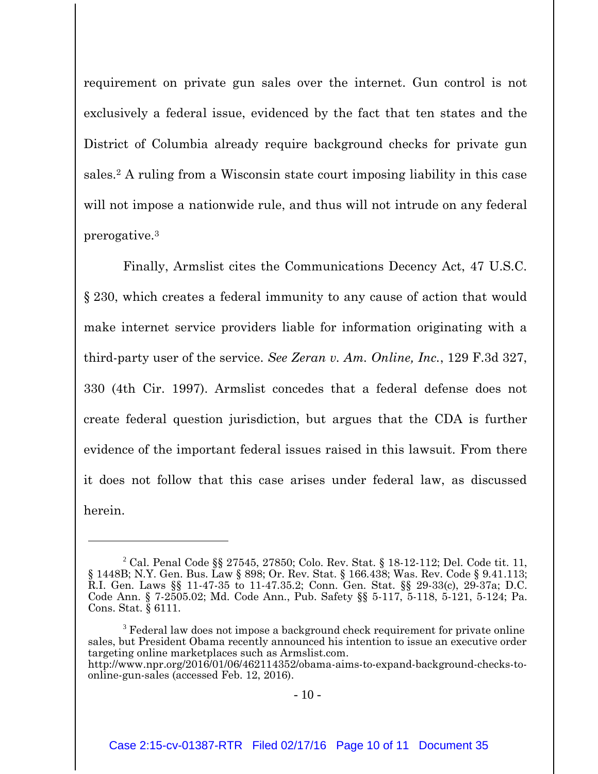requirement on private gun sales over the internet. Gun control is not exclusively a federal issue, evidenced by the fact that ten states and the District of Columbia already require background checks for private gun sales.<sup>2</sup> A ruling from a Wisconsin state court imposing liability in this case will not impose a nationwide rule, and thus will not intrude on any federal prerogative. 3

Finally, Armslist cites the Communications Decency Act, 47 U.S.C. § 230, which creates a federal immunity to any cause of action that would make internet service providers liable for information originating with a third-party user of the service. *See Zeran v. Am. Online, Inc.*, 129 F.3d 327, 330 (4th Cir. 1997). Armslist concedes that a federal defense does not create federal question jurisdiction, but argues that the CDA is further evidence of the important federal issues raised in this lawsuit. From there it does not follow that this case arises under federal law, as discussed herein.

 $\overline{a}$ 

<sup>&</sup>lt;sup>2</sup> Cal. Penal Code §§ 27545, 27850; Colo. Rev. Stat. § 18-12-112; Del. Code tit. 11, § 1448B; N.Y. Gen. Bus. Law § 898; Or. Rev. Stat. § 166.438; Was. Rev. Code § 9.41.113; R.I. Gen. Laws §§ 11-47-35 to 11-47.35.2; Conn. Gen. Stat. §§ 29-33(c), 29-37a; D.C. Code Ann. § 7-2505.02; Md. Code Ann., Pub. Safety §§ 5-117, 5-118, 5-121, 5-124; Pa. Cons. Stat. § 6111.

<sup>&</sup>lt;sup>3</sup> Federal law does not impose a background check requirement for private online sales, but President Obama recently announced his intention to issue an executive order targeting online marketplaces such as Armslist.com.

http://www.npr.org/2016/01/06/462114352/obama-aims-to-expand-background-checks-toonline-gun-sales (accessed Feb. 12, 2016).